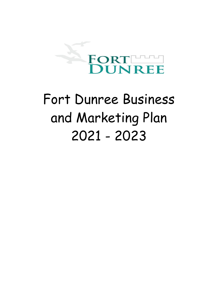

# Fort Dunree Business and Marketing Plan 2021 - 2023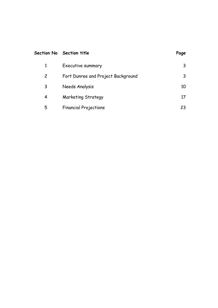|              | Section No Section title           | Page |
|--------------|------------------------------------|------|
| $\mathbf{1}$ | Executive summary                  |      |
| $\mathbf{2}$ | Fort Dunree and Project Background |      |
| 3            | Needs Analysis                     | 10   |
| 4            | Marketing Strategy                 | 17   |
| 5            | <b>Financial Projections</b>       | 23   |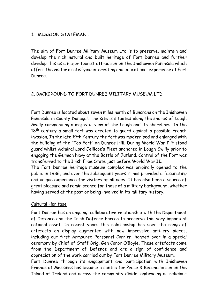# 1. MISSION STATEMANT

The aim of Fort Dunree Military Museum Ltd is to preserve, maintain and develop the rich natural and built heritage of Fort Dunree and further develop this as a major tourist attraction on the Inishowen Peninsula which offers the visitor a satisfying interesting and educational experience at Fort Dunree.

## 2. BACKGROUND TO FORT DUNREE MILITARY MUSEUM LTD

Fort Dunree is located about seven miles north of Buncrana on the Inishowen Peninsula in County Donegal. The site is situated along the shores of Lough Swilly commanding a majestic view of the Lough and its shorelines. In the  $18<sup>th</sup>$  century a small fort was erected to quard against a possible French invasion. In the late 19th Century the fort was modernised and enlarged with the building of the "Top Fort" on Dunree Hill. During World War I it stood guard whilst Admiral Lord Jellicoe's Fleet anchored in Lough Swilly prior to engaging the German Navy at the Battle of Jutland. Control of the Fort was transferred to the Irish Free State just before World War II.

The Fort Dunree heritage museum complex was originally opened to the public in 1986, and over the subsequent years it has provided a fascinating and unique experience for visitors of all ages. It has also been a source of great pleasure and reminiscence for those of a military background, whether having served at the post or being involved in its military history.

## Cultural Heritage

Fort Dunree has an ongoing, collaborative relationship with the Department of Defence and the Irish Defence Forces to preserve this very important national asset. In recent years this relationship has seen the range of artefacts on display augmented with new impressive artillery pieces, including our first Armoured Personnel Carrier, handed over in a special ceremony by Chief of Staff Brig. Gen Conor O'Boyle. These artefacts come from the Department of Defence and are a sign of confidence and appreciation of the work carried out by Fort Dunree Military Museum.

Fort Dunree through its engagement and participation with Inishowen Friends of Messines has become a centre for Peace & Reconciliation on the Island of Ireland and across the community divide, embracing all religious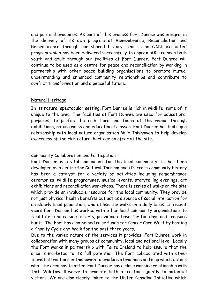and political groupings. As part of this process Fort Dunree was integral in the delivery of its own program of Remembrance, Reconciliation and Remembrance through our shared history. This is an OCN accredited program which has been delivered successfully to approx 500 trainees both youth and adult through our facilities at Fort Dunree. Fort Dunree will continue to be used as a centre for peace and reconciliation by working in partnership with other peace building organisations to promote mutual understanding and enhanced community relationships and contribute to conflict transformation and a peaceful future.

#### Natural Heritage

In its natural spectacular setting, Fort Dunree is rich in wildlife, some of it unique to the area. The facilities at Fort Dunree are used for educational purposes, to profile the rich flora and fauna of the region through exhibitions, nature walks and educational classes. Fort Dunree has built up a relationship with local nature organisation Wild Inishowen to help develop awareness of the rich natural heritage on offer at the site.

## Community Collaboration and Particpation

Fort Dunree is a vital component for the local community. It has been developed as a centre for Cultural Tourism and it's cross community history has been a catalyst for a variety of activities including remembrance ceremonies, wildlife programmes, musical events, storytelling evenings, art exhibitions and reconciliation workshops. There is series of walks on the site which provide an invaluable resource for the local community. They provide not just physical health benefits but act as a source of social interaction for an elderly local population, who utilise the walks on a daily basis. In recent years Fort Dunree has worked with other local community organisations to facilitate fund raising efforts, providing a base for fun days and treasure hunts. The Fort has also helped raise funds for Cancer Care West by hosting a Charity Cycle and Walk for the past three years.

Due to the varied nature of the services it provides, Fort Dunree work in collaboration with many groups at community, local and national level. Locally the Fort works in partnership with Failte Ireland to help ensure that the area is marketed to its full potential. The Fort collaborated with other tourist attractions in Inishowen to produce a brochure and map which details what the area has to offer. Fort Dunree has a close working relationship with Inch Wildfowl Reserve to promote both attractions jointly to potential visitors. We are also closely linked to the Ulster Canadian Initiative which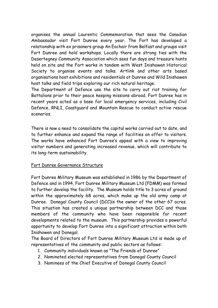organises the annual Laurentic Commemoration that sees the Canadian Ambassador visit Fort Dunree every year. The Fort has developed a relationship with ex prisoners group An Eochair from Belfast and groups visit Fort Dunree and hold workshops. Locally there are strong ties with the Desertegney Community Association which sees fun days and treasure hunts held on site and the Fort works in tandem with West Inishowen Historical Society to organise events and talks. Artlink and other arts based organisations host exhibitions and residentials at Dunree and Wild Inishowen host talks and field trips exploring our rich natural heritage.

The Department of Defence use the site to carry out riot training for Battalions prior to their peace keeping missions abroad. Fort Dunree has in recent years acted as a base for local emergency services, including Civil Defence, RNLI, Coastguard and Mountain Rescue to conduct active rescue scenarios.

There is now a need to consolidate the capital works carried out to date, and to further enhance and expand the range of facilities on offer to visitors. The works have enhanced Fort Dunree's appeal with a view to improving visitor numbers and generating increased revenue, which will contribute to its long-term sustainability.

## Fort Dunree Governance Structure

Fort Dunree Military Museum was established in 1986 by the Department of Defence and in 1994, Fort Dunree Military Museum Ltd (FDMM) was formed to further develop the facility. The Museum holds title to 3 acres of ground within the approximately 68 acres, which make up the old army camp at Dunree. Donegal County Council (DCC)is the owner of the other 67 acres. This situation has created a unique partnership between DCC and those members of the community who have been responsible for recent developments related to the museum. This partnership provides a powerful opportunity to develop Fort Dunree into a significant attraction within both Inishowen and Donegal.

The Board of Directors of Fort Dunree Military Museum Ltd is made up of representatives of the community and public sectors as follows:

- 1. Community individuals known as "The Friends of Dunree"
- 2. Nominated elected representatives from Donegal County Council
- 3. Nominees of the Chief Executive of Donegal County Council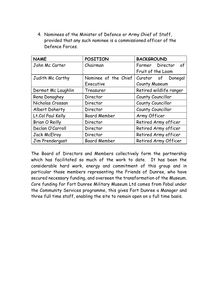4. Nominees of the Minister of Defence or Army Chief of Staff, provided that any such nominee is a commissioned officer of the Defence Forces.

| <b>NAME</b>           | <b>POSITION</b>      | <b>BACKGROUND</b>       |  |
|-----------------------|----------------------|-------------------------|--|
| John Mc Carter        | Chairman             | Former Director<br>of   |  |
|                       |                      | Fruit of the Loom       |  |
| Judith Mc Carthy      | Nominee of the Chief | Curator of Donegal      |  |
|                       | Executive            | <b>County Museum</b>    |  |
| Dermot Mc Laughlin    | Treasurer            | Retired wildlife ranger |  |
| Rena Donaghey         | Director             | County Councillor       |  |
| Nicholas Crossan      | Director             | County Councillor       |  |
| Albert Doherty        | Director             | County Councillor       |  |
| Lt.Col Paul Kelly     | <b>Board Member</b>  | Army Officer            |  |
| <b>Brian O Reilly</b> | Director             | Retired Army officer    |  |
| Declan O'Carroll      | Director             | Retired Army officer    |  |
| <b>Jack McElroy</b>   | Director             | Retired Army officer    |  |
| Jim Prendergast       | <b>Board Member</b>  | Retired Army Officer    |  |

The Board of Directors and Members collectively form the partnership which has facilitated so much of the work to date. It has been the considerable hard work, energy and commitment of this group and in particular those members representing the Friends of Dunree, who have secured necessary funding, and overseen the transformation of the Museum. Core funding for Fort Dunree Military Museum Ltd comes from Pobal under the Community Services programme, this gives Fort Dunree a Manager and three full time staff, enabling the site to remain open on a full time basis.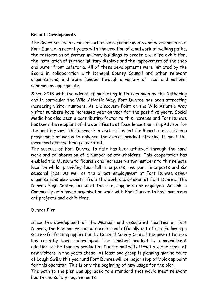## **Recent Developments**

The Board has led a series of extensive refurbishments and developments at Fort Dunree in recent years with the creation of a network of walking paths, the restoration of former military buildings to create a wildlife exhibition, the installation of further military displays and the improvement of the shop and water front cafeteria. All of these developments were initiated by the Board in collaboration with Donegal County Council and other relevant organisations, and were funded through a variety of local and national schemes as appropriate.

Since 2013 with the advent of marketing initiatives such as the Gathering and in particular the Wild Atlantic Way, Fort Dunree has been attracting increasing visitor numbers. As a Discovery Point on the Wild Atlantic Way visitor numbers have increased year on year for the past five years. Social Media has also been a contributing factor to this increase and Fort Dunree has been the recipient of the Certificate of Excellence from TripAdvisor for the past 6 years. This increase in visitors has led the Board to embark on a programme of works to enhance the overall product offering to meet the increased demand being generated.

The success of Fort Dunree to date has been achieved through the hard work and collaboration of a number of stakeholders. This cooperation has enabled the Museum to flourish and increase visitor numbers to this remote location whilst providing four full time posts, two part time posts and six seasonal jobs. As well as the direct employment at Fort Dunree other organisations also benefit from the work undertaken at Fort Dunree. The Dunree Yoga Centre, based at the site, supports one employee. Artlink, a Community arts based organisation work with Fort Dunree to host numerous art projects and exhibitions.

## Dunree Pier

Since the development of the Museum and associated facilities at Fort Dunree, the Pier has remained derelict and officially out of use. Following a successful funding application by Donegal County Council the pier at Dunree has recently been redeveloped. The finished product is a magnificent addition to the tourism product at Dunree and will attract a wider range of new visitors in the years ahead. At least one group is planning marine tours of Lough Swilly this year and Fort Dunree will be major stop off/pick up point for this operator. This is only the beginning of new usage for the pier. The path to the pier was upgraded to a standard that would meet relevant

health and safety requirements.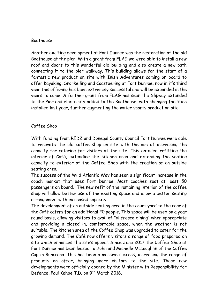## Boathouse

Another exciting development at Fort Dunree was the restoration of the old Boathouse at the pier. With a grant from FLAG we were able to install a new roof and doors to this wonderful old building and also create a new path connecting it to the pier walkway. This building allows for the start of a fantastic new product on site with Inish Adventures coming on board to offer Kayaking, Snorkelling and Coasteering at Fort Dunree, now in it's third year this offering has been extremely successful and will be expanded in the years to come. A further grant from FLAG has seen the Slipway extended to the Pier and electricity added to the Boathouse, with changing facilities installed last year, further augmenting the water sports product on site.

## Coffee Shop

With funding from REDZ and Donegal County Council Fort Dunree were able to renovate the old coffee shop on site with the aim of increasing the capacity for catering for visitors at the site. This entailed refitting the interior of Café, extending the kitchen area and extending the seating capacity to exterior of the Coffee Shop with the creation of an outside seating area.

The success of the Wild Atlantic Way has seen a significant increase in the coach market that uses Fort Dunree. Most coaches seat at least 50 passengers on board. The new refit of the remaining interior of the coffee shop will allow better use of the existing space and allow a better seating arrangement with increased capacity.

The development of an outside seating area in the court yard to the rear of the Café caters for an additional 20 people. This space will be used on a year round basis, allowing visitors to avail of "al fresco dining" when appropriate and providing a closed in, comfortable space, when the weather is not suitable. The kitchen area of the Coffee Shop was upgraded to cater for the growing demand. The Café now offers visitors a range of food prepared on site which enhances the site's appeal. Since June 2017 the Coffee Shop at Fort Dunree has been leased to John and Michelle McLaughlin of the Coffee Cup in Buncrana. This has been a massive success, increasing the range of products on offer, bringing more visitors to the site. These new developments were officially opened by the Minister with Responsibility for Defence, Paul Kehoe T.D. on 9<sup>th</sup> March 2018.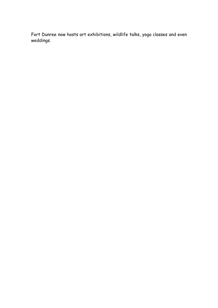Fort Dunree now hosts art exhibitions, wildlife talks, yoga classes and even weddings.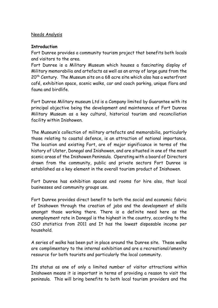#### Needs Analysis

#### **Introduction**

Fort Dunree provides a community tourism project that benefits both locals and visitors to the area.

Fort Dunree is a Military Museum which houses a fascinating display of Military memorabilia and artefacts as well as an array of large guns from the 20<sup>th</sup> Century. The Museum sits on a 68 acre site which also has a waterfront café, exhibition space, scenic walks, car and coach parking, unique flora and fauna and birdlife.

Fort Dunree Military museum Ltd is a Company limited by Guarantee with its principal objective being the development and maintenance of Fort Dunree Military Museum as a key cultural, historical tourism and reconciliation facility within Inishowen.

The Museum's collection of military artefacts and memorabilia, particularly those relating to coastal defence, is an attraction of national importance. The location and existing Fort, are of major significance in terms of the history of Ulster, Donegal and Inishowen, and are situated in one of the most scenic areas of the Inishowen Peninsula. Operating with a board of Directors drawn from the community, public and private sectors Fort Dunree is established as a key element in the overall tourism product of Inishowen.

Fort Dunree has exhibition spaces and rooms for hire also, that local businesses and community groups use.

Fort Dunree provides direct benefit to both the social and economic fabric of Inishowen through the creation of jobs and the development of skills amongst those working there. There is a definite need here as the unemployment rate in Donegal is the highest in the country, according to the CSO statistics from 2011 and It has the lowest disposable income per household.

A series of walks has been put in place around the Dunree site. These walks are complimentary to the internal exhibition and are a recreational/amenity resource for both tourists and particularly the local community.

Its status as one of only a limited number of visitor attractions within Inishowen means it is important in terms of providing a reason to visit the peninsula. This will bring benefits to both local tourism providers and the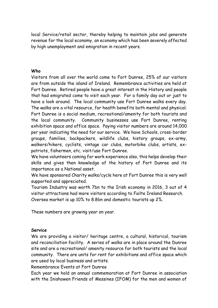local Service/retail sector, thereby helping to maintain jobs and generate revenue for the local economy, an economy which has been severely affected by high unemployment and emigration in recent years.

#### **Who**

Visitors from all over the world come to Fort Dunree, 25% of our visitors are from outside the island of Ireland. Remembrance activities are held at Fort Dunree. Retired people have a great interest in the History and people that had emigrated come to visit each year. For a family day out or just to have a look around. The local community use Fort Dunree walks every day. The walks are a vital resource, for health benefits both mental and physical. Fort Dunree is a social medium, recreational/amenity for both tourists and the local community. Community businesses use Fort Dunree, renting exhibition space and office space. Paying visitor numbers are around 14,000 per year indicating the need for our service. We have Schools, cross-border groups, families, backpackers, wildlife clubs, history groups, ex-army, walkers/hikers, cyclists, vintage car clubs, motorbike clubs, artists, expatriots, fishermen, etc. visit/use Fort Dunree.

We have volunteers coming for work experience also, this helps develop their skills and gives then knowledge of the history of Fort Dunree and its importance as a National asset.

We have sponsored Charity walks/cycle here at Fort Dunree this is very well supported and appreciated.

Tourism Industry was worth 7bn to the Irish economy in 2016, 3 out of 4 visitor attractions had more visitors according to Failte Ireland Research. Oversea market is up 10% to 8.8bn and domestic tourists up 2%.

These numbers are growing year on year.

## **Service**

We are providing a visitor/ heritage centre, a cultural, historical, tourism and reconciliation facility. A series of walks are in place around the Dunree site and are a recreational/ amenity resource for both tourists and the local community. There are units for rent for exhibitions and office space which are used by local business and artists.

Remembrance Events at Fort Dunree

Each year we hold an annual commemoration at Fort Dunree in association with the Inishowen Friends of Messines (IFOM) for the men and women of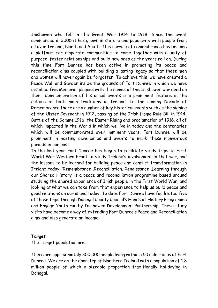Inishowen who fell in the Great War 1914 to 1918. Since the event commenced in 2005 it has grown in stature and popularity with people from all over Ireland, North and South. This service of remembrance has become a platform for disparate communities to come together with a unity of purpose, foster relationships and build new ones as the years roll on. During this time Fort Dunree has been active in promoting its peace and reconciliation aims coupled with building a lasting legacy so that these men and women will never again be forgotten. To achieve this, we have created a Peace Wall and Garden inside the grounds of Fort Dunree in which we have installed five Memorial plaques with the names of the Inishowen war dead on them. Commemoration of historical events is a prominent feature in the culture of both main traditions in Ireland. In the coming Decade of Remembrance there are a number of key historical events such as the signing of the Ulster Covenant in 1912, passing of the Irish Home Rule Bill in 1914, Battle of the Somme 1916, the Easter Rising and proclamation of 1916, all of which impacted in the World in which we live in today and the centenaries which will be commemorated over imminent years. Fort Dunree will be prominent in hosting ceremonies and events to mark these momentous periods in our past.

In the last year Fort Dunree has begun to facilitate study trips to First World War Western Front to study Ireland's involvement in that war, and the lessons to be learned for building peace and conflict transformation in Ireland today. 'Remembrance ,Reconciliation, Renaissance ,Learning through our Shared History' is a peace and reconciliation programme based around studying the shared experience of Irish people in the First World War, and looking at what we can take from that experience to help us build peace and good relations on our island today. To date Fort Dunree have facilitated five of these trips through Donegal County Council's Hands of History Programme and Engage Youth run by Inishowen Development Partnership. These study visits have become a way of extending Fort Dunree's Peace and Reconciliation aims and also generate an income.

#### **Target**

The Target population are:

There are approximately 300,000 people living within a 50 mile radius of Fort Dunree. We are on the doorstep of Northern Ireland with a population of 1.8 million people of which a sizeable proportion traditionally holidaying in Donegal.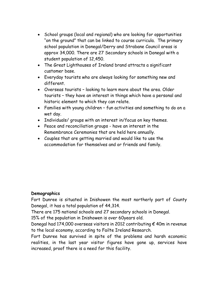- School groups (local and regional) who are looking for opportunities "on the ground" that can be linked to course curricula. The primary school population in Donegal/Derry and Strabane Council areas is approx 34,000. There are 27 Secondary schools in Donegal with a student population of 12,450.
- The Great Lighthouses of Ireland brand attracts a significant customer base.
- Everyday tourists who are always looking for something new and different.
- Overseas tourists looking to learn more about the area. Older tourists – they have an interest in things which have a personal and historic element to which they can relate.
- Families with young children fun activities and something to do on a wet day.
- Individuals/ groups with an interest in/focus on key themes.
- Peace and reconciliation groups have an interest in the Remembrance Ceremonies that are held here annually.
- Couples that are getting married and would like to use the accommodation for themselves and or friends and family.

# **Demographics**

Fort Dunree is situated in Inishowen the most northerly part of County Donegal, it has a total population of 44,314.

There are 175 national schools and 27 secondary schools in Donegal.

15% of the population in Inishowen is over 60years old.

Donegal had 174,000 overseas visitors in 2012 contributing  $\epsilon$  40m in revenue to the local economy, according to Failte Ireland Research.

Fort Dunree has survived in spite of the problems and harsh economic realities, in the last year visitor figures have gone up, services have increased, proof there is a need for this facility.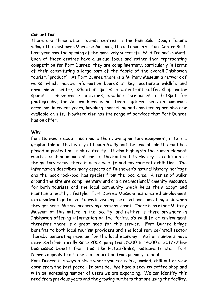#### **Competition**

There are three other tourist centres in the Peninsula. Doagh Famine village.The Inishowen Maritime Museum, The old church visitors Centre Burt. Last year saw the opening of the massively successful Wild Ireland in Muff. Each of these centres have a unique focus and rather than representing competition for Fort Dunree, they are complimentary, particularly in terms of their constituting a large part of the fabric of the overall Inishowen tourism "product". At Fort Dunree there is a Military Museum a network of walks, which include information boards at key locations,a wildlife and environment centre, exhibition spaces, a waterfront coffee shop, water sports, remembrance activities, wedding ceremonies, a hotspot for photography, the Aurora Borealis has been captured here on numerous occasions in recent years, kayaking snorkelling and coasteering are also now available on site. Nowhere else has the range of services that Fort Dunree has on offer.

#### **Why**

Fort Dunree is about much more than viewing military equipment, it tells a graphic tale of the history of Lough Swilly and the crucial role the Fort has played in protecting Irish neutrality. It also highlights the human element which is such an important part of the Fort and its History. In addition to the military focus, there is also a wildlife and environment exhibition. The information describes many aspects of Inishowen's natural history heritage and the mock rock-pool has species from the local area. A series of walks around the site are complimentary and are a recreational/ amenity resource for both tourists and the local community which helps them adopt and maintain a healthy lifestyle. Fort Dunree Museum has created employment in a disadvantaged area. Tourists visiting the area have something to do when they get here. We are preserving a national asset. There is no other Military Museum of this nature in the locality, and neither is there anywhere in Inishowen offering information on the Peninsula's wildlife or environment therefore there is a great need for this service. Fort Dunree brings benefits to both local tourism providers and the local service/retail sector thereby generating revenue for the local economy. Visitor numbers have increased dramatically since 2002 going from 5000 to 14000 in 2017.Other businesses benefit from this, like Hotels/BnBs, restaurants etc. Fort Dunree appeals to all facets of education from primary to adult.

Fort Dunree is always a place where you can relax, unwind, chill out or slow down from the fast paced life outside. We have a seaview coffee shop and with an increasing number of users we are expanding. We can identify this need from previous years and the growing numbers that are using the facility.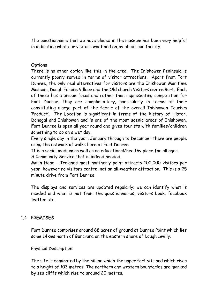The questionnaire that we have placed in the museum has been very helpful in indicating what our visitors want and enjoy about our facility.

#### **Options**

There is no other option like this in the area. The Inishowen Peninsula is currently poorly served in terms of visitor attractions. Apart from Fort Dunree, the only real alternatives for visitors are the Inishowen Maritime Museum, Doagh Famine Village and the Old church Visitors centre Burt. Each of these has a unique focus and rather than representing competition for Fort Dunree, they are complimentary, particularly in terms of their constituting alarge part of the fabric of the overall Inishowen Tourism 'Product'. The Location is significant in terms of the history of Ulster, Donegal and Inishowen and is one of the most scenic areas of Inishowen. Fort Dunree is open all year round and gives tourists with families/children something to do on a wet day.

Every single day in the year, January through to December there are people using the network of walks here at Fort Dunree.

It is a social medium as well as an educational/healthy place for all ages.

A Community Service that is indeed needed.

Malin Head – Irelands most northerly point attracts 100,000 visitors per year, however no visitors centre, not an all-weather attraction. This is a 25 minute drive from Fort Dunree.

The displays and services are updated regularly; we can identify what is needed and what is not from the questionnaires, visitors book, facebook twitter etc.

## 1.4 PREMISES

Fort Dunree comprises around 68 acres of ground at Dunree Point which lies some 14kms north of Buncrana on the eastern shore of Lough Swilly.

Physical Description:

The site is dominated by the hill on which the upper fort sits and which rises to a height of 103 metres. The northern and western boundaries are marked by sea cliffs which rise to around 20 metres.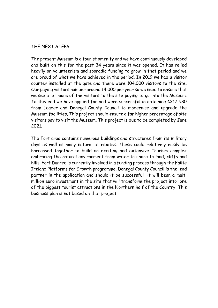#### THE NEXT STEPS

The present Museum is a tourist amenity and we have continuously developed and built on this for the past 34 years since it was opened. It has relied heavily on volunteerism and sporadic funding to grow in that period and we are proud of what we have achieved in the period. In 2019 we had a visitor counter installed at the gate and there were 104,000 visitors to the site, Our paying visitors number around 14,000 per year so we need to ensure that we see a lot more of the visitors to the site paying to go into the Museum. To this end we have applied for and were successful in obtaining  $\epsilon$ 217,580 from Leader and Donegal County Council to modernise and upgrade the Museum facilities. This project should ensure a far higher percentage of site visitors pay to visit the Museum. This project is due to be completed by June 2021.

The Fort area contains numerous buildings and structures from its military days as well as many natural attributes. These could relatively easily be harnessed together to build an exciting and extensive Tourism complex embracing the natural environment from water to shore to land, cliffs and hills. Fort Dunree is currently involved in a funding process through the Failte Ireland Platforms for Growth programme. Donegal County Council is the lead partner in the application and should it be successful it will bean a multi million euro investment in the site that will transform the project into one of the biggest tourist attractions in the Northern half of the Country. This business plan is not based on that project.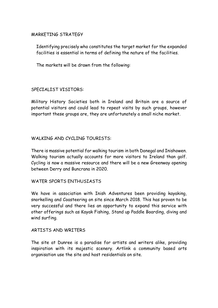## MARKETING STRATEGY

Identifying precisely who constitutes the target market for the expanded facilities is essential in terms of defining the nature of the facilities.

The markets will be drawn from the following:

#### SPECIALIST VISITORS:

Military History Societies both in Ireland and Britain are a source of potential visitors and could lead to repeat visits by such groups, however important these groups are, they are unfortunately a small niche market.

## WALKING AND CYCLING TOURISTS:

There is massive potential for walking tourism in both Donegal and Inishowen. Walking tourism actually accounts for more visitors to Ireland than golf. Cycling is now a massive resource and there will be a new Greenway opening between Derry and Buncrana in 2020.

#### WATER SPORTS ENTHUSIASTS

We have in association with Inish Adventures been providing kayaking, snorkelling and Coasteering on site since March 2018. This has proven to be very successful and there lies an opportunity to expand this service with other offerings such as Kayak Fishing, Stand up Paddle Boarding, diving and wind surfing.

#### ARTISTS AND WRITERS

The site at Dunree is a paradise for artists and writers alike, providing inspiration with its majestic scenery. Artlink a community based arts organisation use the site and host residentials on site.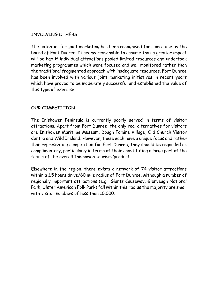## INVOLVING OTHERS

The potential for joint marketing has been recognised for some time by the board of Fort Dunree. It seems reasonable to assume that a greater impact will be had if individual attractions pooled limited resources and undertook marketing programmes which were focused and well monitored rather than the traditional fragmented approach with inadequate resources. Fort Dunree has been involved with various joint marketing initiatives in recent years which have proved to be moderately successful and established the value of this type of exercise.

## OUR COMPETITION

The Inishowen Peninsula is currently poorly served in terms of visitor attractions. Apart from Fort Dunree, the only real alternatives for visitors are Inishowen Maritime Museum, Doagh Famine Village, Old Church Visitor Centre and Wild Ireland. However, these each have a unique focus and rather than representing competition for Fort Dunree, they should be regarded as complimentary, particularly in terms of their constituting a large part of the fabric of the overall Inishowen tourism 'product'.

Elsewhere in the region, there exists a network of 74 visitor attractions within a 1.5 hours drive/60 mile radius of Fort Dunree. Although a number of regionally important attractions (e.g. Giants Causeway, Glenveagh National Park, Ulster American Folk Park) fall within this radius the majority are small with visitor numbers of less than 10,000.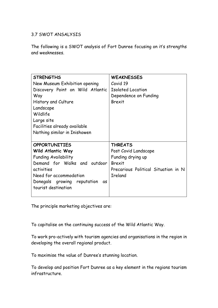## 3.7 SWOT ANSALYSIS

The following is a SWOT analysis of Fort Dunree focusing on it's strengths and weaknesses.

| <b>STRENGTHS</b>                  | <b>WEAKNESSES</b>                   |  |  |
|-----------------------------------|-------------------------------------|--|--|
| New Museum Exhibition opening     | Covid 19                            |  |  |
|                                   |                                     |  |  |
| Discovery Point on Wild Atlantic  | <b>Isolated Location</b>            |  |  |
| Way                               | Dependence on Funding               |  |  |
| History and Culture               | Brexit                              |  |  |
| Landscape                         |                                     |  |  |
| Wildlife                          |                                     |  |  |
| Large site                        |                                     |  |  |
| Facilities already available      |                                     |  |  |
| Nothing similar in Inishowen      |                                     |  |  |
|                                   |                                     |  |  |
| <b>OPPORTUNITIES</b>              | <b>THREATS</b>                      |  |  |
| Wild Atlantic Way                 | Post Covid Landscape                |  |  |
| <b>Funding Availability</b>       | Funding drying up                   |  |  |
| Demand for Walks and outdoor      | <b>Brexit</b>                       |  |  |
| activities                        | Precarious Political Situation in N |  |  |
| Need for accommodation            | <b>Ireland</b>                      |  |  |
| Donegals growing reputation<br>αs |                                     |  |  |
| tourist destination               |                                     |  |  |
|                                   |                                     |  |  |

The principle marketing objectives are:

To capitalise on the continuing success of the Wild Atlantic Way.

To work pro-actively with tourism agencies and organisations in the region in developing the overall regional product.

To maximise the value of Dunree's stunning location.

To develop and position Fort Dunree as a key element in the regions tourism infrastructure.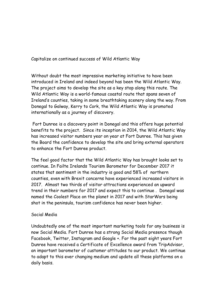Capitalize on continued success of Wild Atlantic Way

Without doubt the most impressive marketing initiative to have been introduced in Ireland and indeed beyond has been the Wild Atlantic Way. The project aims to develop the site as a key stop along this route. The Wild Atlantic Way is a world-famous coastal route that spans seven of Ireland's counties, taking in some breathtaking scenery along the way. From Donegal to Galway, Kerry to Cork, the Wild Atlantic Way is promoted internationally as a journey of discovery.

Fort Dunree is a discovery point in Donegal and this offers huge potential benefits to the project. Since its inception in 2014, the Wild Atlantic Way has increased visitor numbers year on year at Fort Dunree. This has given the Board the confidence to develop the site and bring external operators to enhance the Fort Dunree product.

The feel good factor that the Wild Atlantic Way has brought looks set to continue. In Failte Irelands Tourism Barometer for December 2017 it states that sentiment in the industry is good and 58% of northern counties, even with Brexit concerns have experienced increased visitors in 2017. Almost two thirds of visitor attractions experienced an upward trend in their numbers for 2017 and expect this to continue . Donegal was named the Coolest Place on the planet in 2017 and with StarWars being shot in the peninsula, tourism confidence has never been higher.

#### Social Media

Undoubtedly one of the most important marketing tools for any business is now Social Media. Fort Dunree has a strong Social Media presence though Facebook, Twitter, Instagram and Google +. For the past eight years Fort Dunree have received a Certificate of Excellence award from TripAdvisor, an important barometer of customer attitudes to our product. We continue to adapt to this ever changing medium and update all these platforms on a daily basis.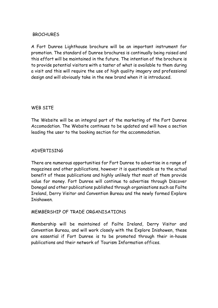## **BROCHURES**

A Fort Dunree Lighthouse brochure will be an important instrument for promotion. The standard of Dunree brochures is continually being raised and this effort will be maintained in the future. The intention of the brochure is to provide potential visitors with a taster of what is available to them during a visit and this will require the use of high quality imagery and professional design and will obviously take in the new brand when it is introduced.

#### WEB SITE

The Website will be an integral part of the marketing of the Fort Dunree Accomodation. The Website continues to be updated and will have a section leading the user to the booking section for the accommodation.

#### ADVERTISING

There are numerous opportunities for Fort Dunree to advertise in a range of magazines and other publications, however it is questionable as to the actual benefit of these publications and highly unlikely that most of them provide value for money. Fort Dunree will continue to advertise through Discover Donegal and other publications published through organisations such as Failte Ireland, Derry Visitor and Convention Bureau and the newly formed Explore Inishowen.

#### MEMBERSHIP OF TRADE ORGANISATIONS

Membership will be maintained of Failte Ireland, Derry Visitor and Convention Bureau, and will work closely with the Explore Inishowen, these are essential if Fort Dunree is to be promoted through their in-house publications and their network of Tourism Information offices.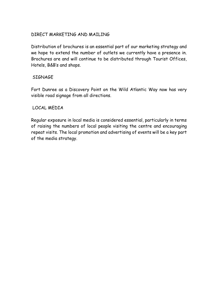## DIRECT MARKETING AND MAILING

Distribution of brochures is an essential part of our marketing strategy and we hope to extend the number of outlets we currently have a presence in. Brochures are and will continue to be distributed through Tourist Offices, Hotels, B&B's and shops.

## **SIGNAGF**

Fort Dunree as a Discovery Point on the Wild Atlantic Way now has very visible road signage from all directions.

## LOCAL MEDIA

Regular exposure in local media is considered essential, particularly in terms of raising the numbers of local people visiting the centre and encouraging repeat visits. The local promotion and advertising of events will be a key part of the media strategy.